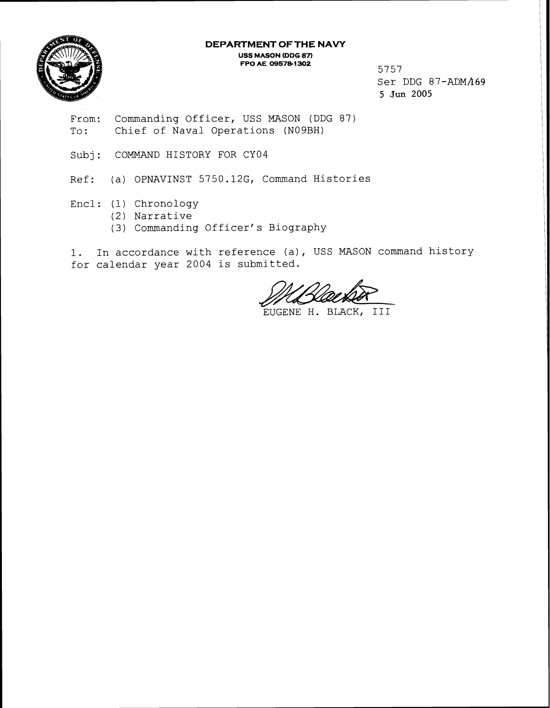**DEPARTMENT OF THE NAVY USS MASON (DDG 87) FPO AE 095761302** <sup>5757</sup>



Ser DDG 87-ADM/169 **5 jun 2005** 

From: Commanding Officer, USS MASON (DDG 87) To: Chief of Naval Operations (N09BH)

Subj: COMMAND HISTORY FOR CY04

Ref: (a) OPNAVINST 5750.12G, Command Histories

- Encl: (1) Chronology
	- (2) Narrative
	- (3) Commanding Officer's Biography

1. In accordance with reference (a), USS MASON command history for calendar year 2004 is submitted.

EUGENE H. BLACK, I I I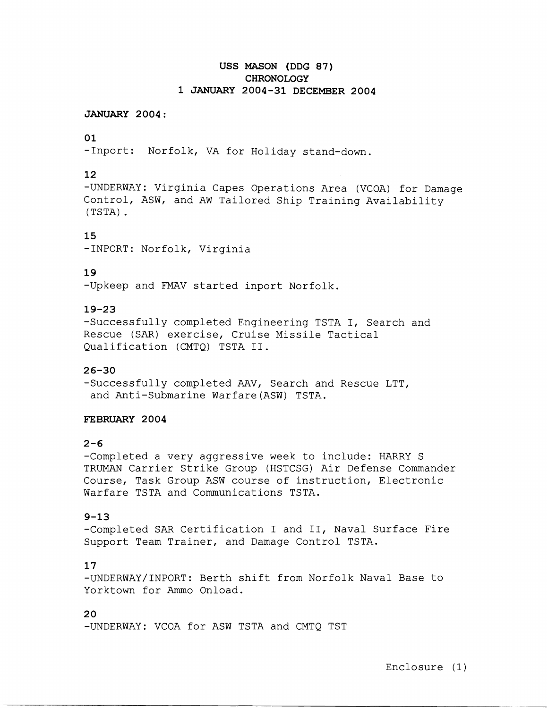# **USS MASON (DDG 87) CHRONOLOGY**  1 **JANUARY** 2004-31 **DECEMBER** 2004

#### **JANUARY** 2004:

# 01

-1nport: Norfolk, VA for Holiday stand-down.

# 12

-UNDERWAY: Virginia Capes Operations Area (VCOA) for Damage Control, ASW, and AW Tailored Ship Training Availability (TSTA) .

# 15

-1NPORT: Norfolk, Virginia

# 19

-Upkeep and FMAV started inport Norfolk.

## 19-23

-Successfully completed Engineering TSTA I, Search and Rescue (SAR) exercise, Cruise Missile Tactical Qualification (CMTQ) TSTA 11.

## 26-30

-Successfully completed AAV, Search and Rescue LTT, and Anti-Submarine Warfare(ASW) TSTA.

#### **FEBRUARY** 2004

# $2 - 6$

-Completed a very aggressive week to include: HARRY S TRUMAN Carrier Strike Group (HSTCSG) Air Defense Commander Course, Task Group ASW course of instruction, Electronic Warfare TSTA and Communications TSTA.

# 9-13

-Completed SAR Certification I and 11, Naval Surface Fire Support Team Trainer, and Damage Control TSTA.

#### 17

-UNDERWAY/INPORT: Berth shift from Norfolk Naval Base to Yorktown for Ammo Onload.

#### 20

-UNDERWAY: VCOA for ASW TSTA and CMTQ TST

Enclosure (1)

-- ---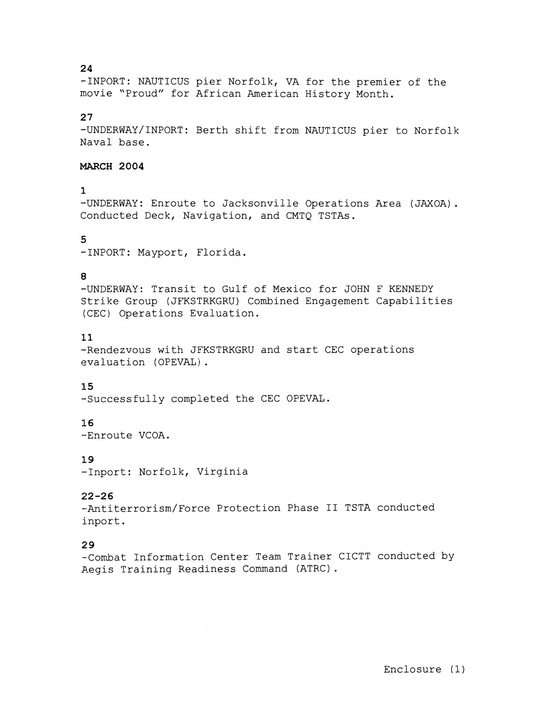#### **24**

-1NPORT: NAUTICUS pier Norfolk, VA for the premier of the movie "Proud" for African American History Month.

#### **27**

-UNDERWAY/INPORT: Berth shift from NAUTICUS pier to Norfolk Naval base.

# **MARCH 2004**

#### **1**

-UNDERWAY: Enroute to Jacksonville Operations Area (JAXOA). Conducted Deck, Navigation, and CMTQ TSTAs.

## **5**

-1NPORT: Mayport, Florida.

#### **8**

-UNDERWAY: Transit to Gulf of Mexico for JOHN F KENNEDY Strike Group (JFKSTRKGRU) Combined Engagement Capabilities (CEC) Operations Evaluation.

# **:11**

-Rendezvous with JFKSTRKGRU and start CEC operations evaluation (OPEVAL) .

#### **1 5**

--Successfully completed the CEC OPEVAL.

## **16**

--Enroute VCOA.

## I. **9**

--Inport: Norfolk, Virginia

# **22-26**

-Antiterrorism/Force Protection Phase II TSTA conducted inport.

# **29**

-Combat Information Center Team Trainer CICTT conducted by Aegis Training Readiness Command (ATRC) .

Enclosure (1)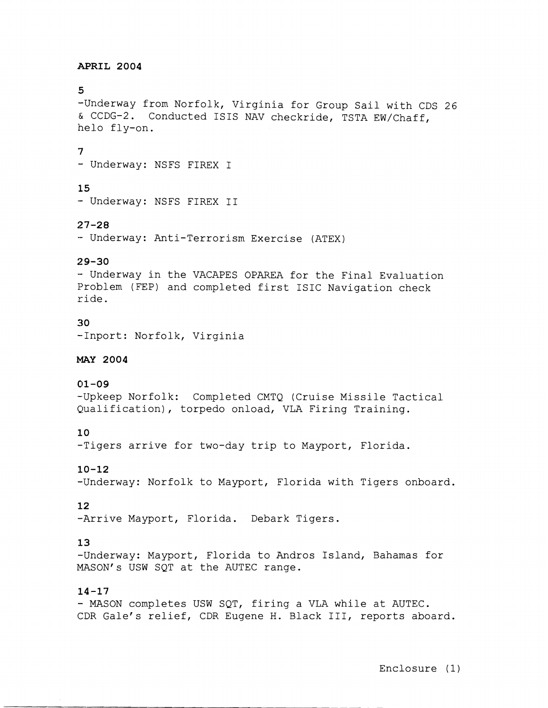#### **APRIL 2004**

#### 5

-Underway from Norfolk, Virginia for Group Sail with CDS 26 & CCDG-2. Conducted ISIS NAV checkride, TSTA EW/Chaff, helo fly-on.

#### **7**

- Underway: NSFS FIREX I

# **15**

- Underway: NSFS FIREX I1

#### **27-28**

- Underway: Anti-Terrorism Exercise (ATEX)

## **29-30**

- Underway in the VACAPES OPAREA for the Final Evaluation Problem (FEP) and completed first ISIC Navigation check ride.

#### **3 0**

--Inport: Norfolk, Virginia

#### **MAY 2004**

## **01-09**

-Upkeep Norfolk: Completed CMTQ (Cruise Missile Tactical Qualification), torpedo onload, VLA Firing Training.

## **10**

-Tigers arrive for two-day trip to Mayport, Florida.

## **10-12**

-Underway: Norfolk to Mayport, Florida with Tigers onboard.

## **12**

-Arrive Mayport, Florida. Debark Tigers.

## **13**

-Underway: Mayport, Florida to Andros Island, Bahamas for MASON's USW SQT at the AUTEC range.

#### **14-17**

- MASON completes USW SQT, firing a VLA while at AUTEC. CDR Gale's relief, CDR Eugene H. Black 111, reports aboard.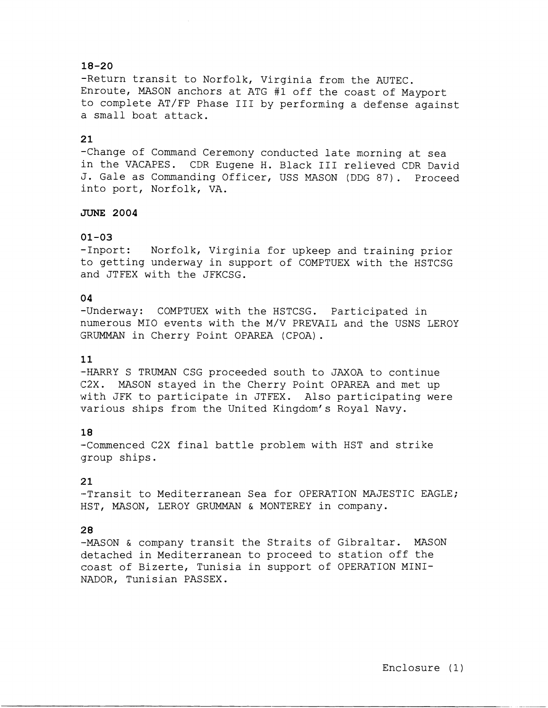# **18-20**

-Return transit to Norfolk, Virginia from the AUTEC. Enroute, MASON anchors at ATG #1 off the coast of Mayport to complete AT/FP Phase I11 by performing a defense against a small boat attack.

#### **21**

-Change of Command Ceremony conducted late morning at sea in the VACAPES. CDR Eugene H. Black 111 relieved CDR David J. Gale as Commanding Officer, USS MASON (DDG 87). Proceed into port, Norfolk, VA.

#### JUNE **2004**

#### **01-03**

-1nport: Norfolk, Virginia for upkeep and training prior to getting underway in support of COMPTUEX with the HSTCSG and JTFEX with the JFKCSG.

#### **04**

-Underway: COMPTUEX with the HSTCSG. Participated in numerous MI0 events with the M/V PREVAIL and the USNS LEROY GRUMMAN in Cherry Point OPAREA (CPOA).

#### **11**

.-HARRY S TRUMAN CSG proceeded south to JAXOA to continue 62X. MASON stayed in the Cherry Point OPAREA and met up with JFK to participate in JTFEX. Also participating were various ships from the United Kingdom's Royal Navy.

#### **'1 8**

-Commenced C2X final battle problem with HST and strike group ships.

# **21**

-Transit to Mediterranean Sea for OPERATION MAJESTIC EAGLE; HST, MASON, LEROY GRUMMAN & MONTEREY in company.

#### 2 **8**

-MASON & company transit the Straits of Gibraltar. MASON detached in Mediterranean to proceed to station off the coast of Bizerte, Tunisia in support of OPERATION MINI-NADOR, Tunisian PASSEX.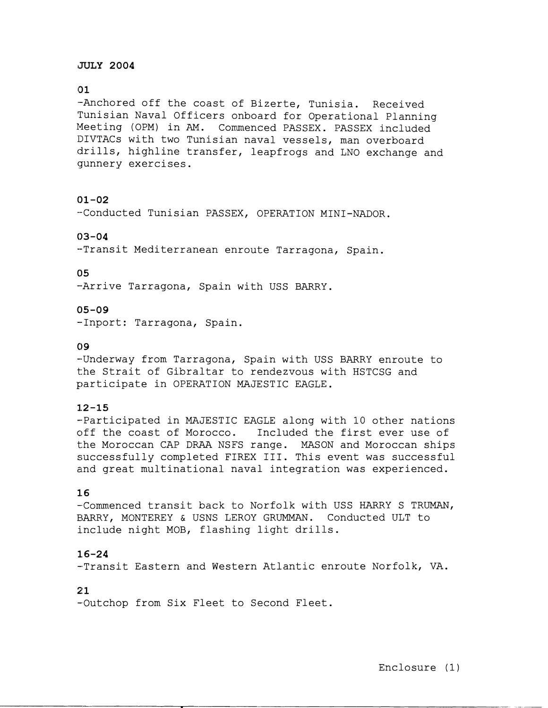# **JULY 2004**

# **(31**

-Anchored off the coast of Bizerte, Tunisia. Received Tunisian Naval Officers onboard for Operational Planning Meeting (OPM) in AM. Commenced PASSEX. PASSEX included DIVTACs with two Tunisian naval vessels, man overboard drills, highline transfer, leapfrogs and LNO exchange and gunnery exercises.

## **01-02**

-Conducted Tunisian PASSEX, OPERATION MINI-NADOR.

#### **03-04**

-Transit Mediterranean enroute Tarragona, Spain.

# 0 **5**

-Arrive Tarragona, Spain with USS BARRY.

#### **05 -0 9**

--Inport: Tarragona, Spain.

#### **0 9**

--Underway from Tarragona, Spain with USS BARRY enroute to the Strait of Gibraltar to rendezvous with HSTCSG and participate in OPERATION MAJESTIC EAGLE.

## **1.2-15**

-Participated in MAJESTIC EAGLE along with 10 other nations off the coast of Morocco. Included the first ever use of the Moroccan CAP DRAA NSFS range. MASON and Moroccan ships successfully completed FIREX 111. This event was successful and great multinational naval integration was experienced.

# **1.6**

-Commenced transit back to Norfolk with USS HARRY S TRUMAN, EIARRY, MONTEREY & USNS LEROY GRUMMAN. Conducted ULT to include night MOB, flashing light drills.

## **1.6-24**

-Transit Eastern and Western Atlantic enroute Norfolk, VA.

#### **21**

-Outchop from Six Fleet to Second Fleet.

- --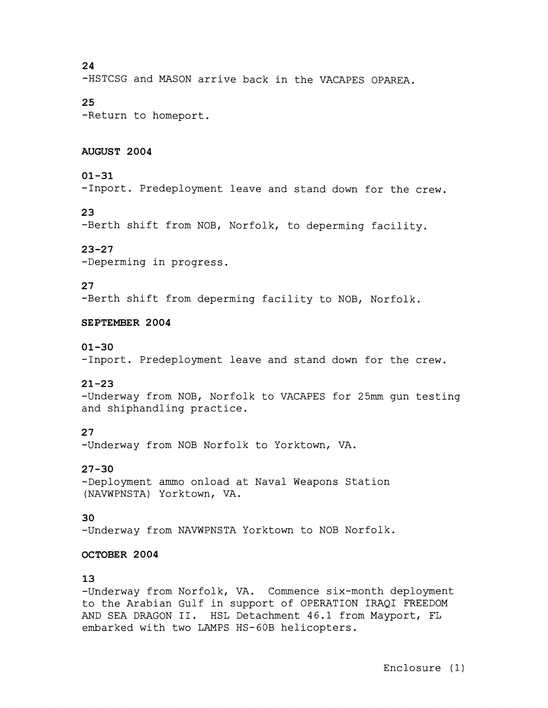24

-HSTCSG and MASON arrive back in the VACAPES OPAREA.

## 25

-Return to homeport.

#### **AUGUST 2004**

#### 01-31

-1nport. Predeployment leave and stand down for the crew.

# 23

-Berth shift from NOB, Norfolk, to deperming facility.

## 23-27

-Deperming in progress.

## 27

-Berth shift from deperming facility to NOB, Norfolk.

#### **SEPTEMBER** 2004

#### 01-30

-1nport. Predeployment leave and stand down for the crew.

# 21-23

-Underway from NOB, Norfolk to VACAPES for 25mm gun testing and shiphandling practice.

# 27

-Underway from NOB Norfolk to Yorktown, VA.

## 27-30

-Deployment ammo onload at Naval Weapons Station (NAVWPNSTA) Yorktown, VA.

## 30

-Underway from NAVWPNSTA Yorktown to NOB Norfolk.

#### **OCTOBER** 2004

#### 13

-Underway from Norfolk, VA. Commence six-month deployment to the Arabian Gulf in support of OPERATION IRAQI FREEDOM AND SEA DRAGON 11. HSL Detachment 46.1 from Mayport, EL embarked with two LAMPS HS-GOB helicopters.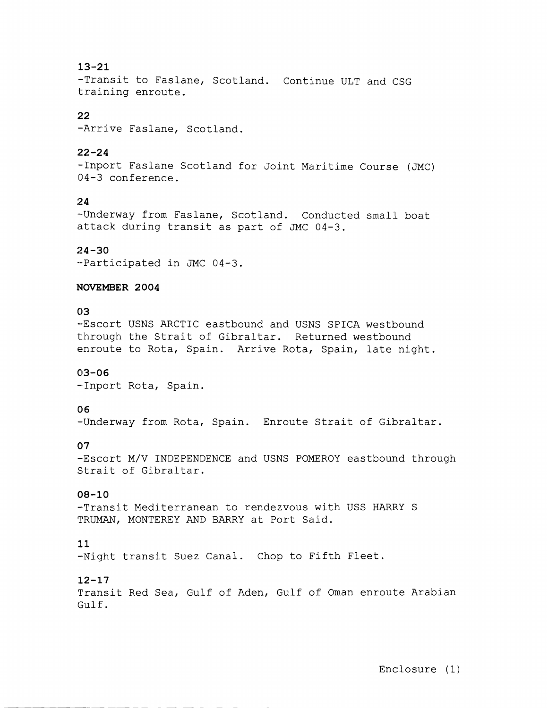# 13-21

-Transit to Faslane, Scotland. Continue ULT and CSG training enroute.

## 22

-Arrive Faslane, Scotland.

# **.22** -24

-1nport Faslane Scotland for Joint Maritime Course (JMC) 04-3 conference.

# 24

-Underway from Faslane, Scotland. Conducted small boat attack during transit as part of JMC 04-3.

# $24 - 30$

--Participated in JMC 04-3.

#### NOVEMBER 2004

# **0 3**

-Escort USNS ARCTIC eastbound and USNS SPICA westbound through the Strait of Gibraltar. Returned westbound enroute to Rota, Spain. Arrive Rota, Spain, late night.

## 03-06

-Inport Rota, Spain.

# 06

-Underway from Rota, Spain. Enroute Strait of Gibraltar.

## 07

-Escort M/V INDEPENDENCE and USNS POMEROY eastbound through Strait of Gibraltar.

## 08-10

-Transit Mediterranean to rendezvous with USS HARRY S TRUMAN, MONTEREY AND BARRY at Port Said.

# 11

-Night transit Suez Canal. Chop to Fifth Fleet.

## 12-17

Transit Red Sea, Gulf of Aden, Gulf of Oman enroute Arabian Gulf .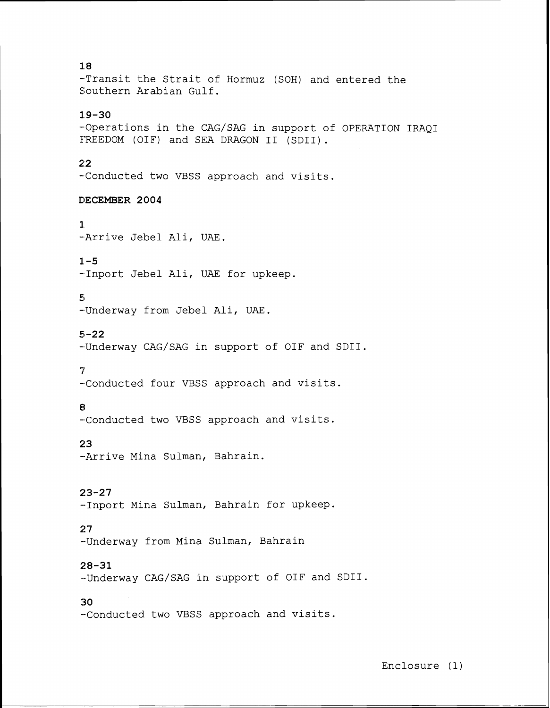-Transit the Strait of Hormuz (SOH) and entered the Southern Arabian Gulf.

# **19-30**

-Operations in the CAG/SAG in support of OPERATION IRAQI FREEDOM (OIF) and SEA DRAGON II (SDII).

## **21 2**

-Conducted two VBSS approach and visits.

#### **DECEMBER 2004**

**1.**  -Arrive Jebel Ali, UAE.

# $1 - 5$

-Inport Jebel Ali, UAE for upkeep.

#### **5;**

-Underway from Jebel Ali, UAE.

#### **5-22**

-Underway CAG/SAG in support of OIF and SDII.

#### 5'

-Conducted four VBSS approach and visits.

## 8

-Conducted two VBSS approach and visits.

# **i! 3**

--Arrive Mina Sulman, Bahrain.

# **i!3-27**

-Inport Mina Sulman, Bahrain for upkeep.

## $27$

--Underway from Mina Sulman, Bahrain

# **28-31**

--Underway CAG/SAG in support of OIF and SDII.

# **30**

--Conducted two VBSS approach and visits.

- --

# **18**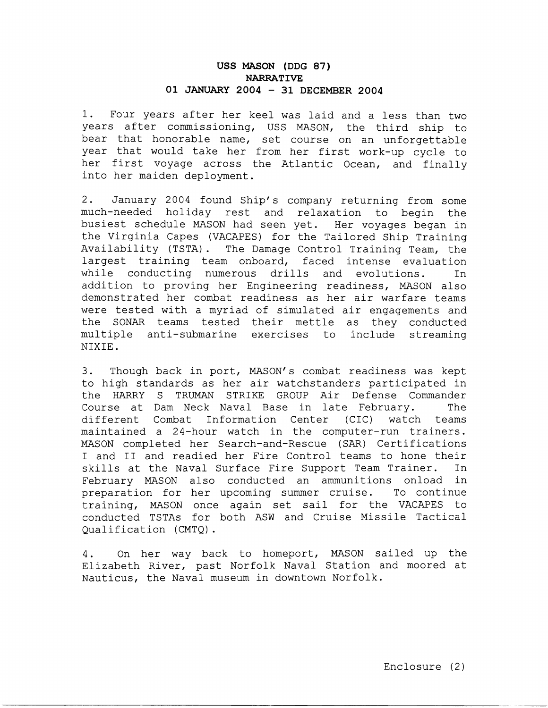# **USS MASON (DDG 87) NARRATIVE 01 JANUARY 2004** - **31 DECEMBER 2004**

1. Four years after her keel was laid and a less than two years after commissioning, USS MASON, the third ship to bear that honorable name, set course on an unforgettable year that would take her from her first work-up cycle to her first voyage across the Atlantic Ocean, and finally into her maiden deployment.

2. January 2004 found Ship's company returning from some much-needed holiday rest and relaxation to begin the busiest schedule MASON had seen yet. Her voyages began in the Virginia Capes (VACAPES) for the Tailored Ship Training Availability (TSTA) . The Damage Control Training Team, the largest training team onboard, faced intense evaluation while conducting numerous drills and evolutions. In addition to proving her Engineering readiness, MASON also demonstrated her combat readiness as her air warfare teams were tested with a myriad of simulated air engagements and the SONAR teams tested their mettle as they conducted multiple anti-submarine exercises to include streaming NIXIE.

3. Though back in port, MASON's combat readiness was kept to high standards as her air watchstanders participated in the HARRY S TRUMAN STRIKE GROUP Air Defense Commander (Course at Dam Neck Naval Base in late February. The (different Combat Information Center (CIC) watch teams maintained a 24-hour watch in the computer-run trainers. IWSON completed her Search-and-Rescue (SAR) Certifications I and I1 and readied her Fire Control teams to hone their skills at the Naval Surface Fire Support Team Trainer. In February MASON also conducted an ammunitions onload in preparation for her upcoming summer cruise. To continue training, MASON once again set sail for the VACAPES to conducted TSTAs for both ASW and Cruise Missile Tactical Qualification (CMTQ).

4. On her way back to homeport, MASON sailed up the Elizabeth River, past Norfolk Naval Station and moored at Nauticus, the Naval museum in downtown Norfolk.

-- -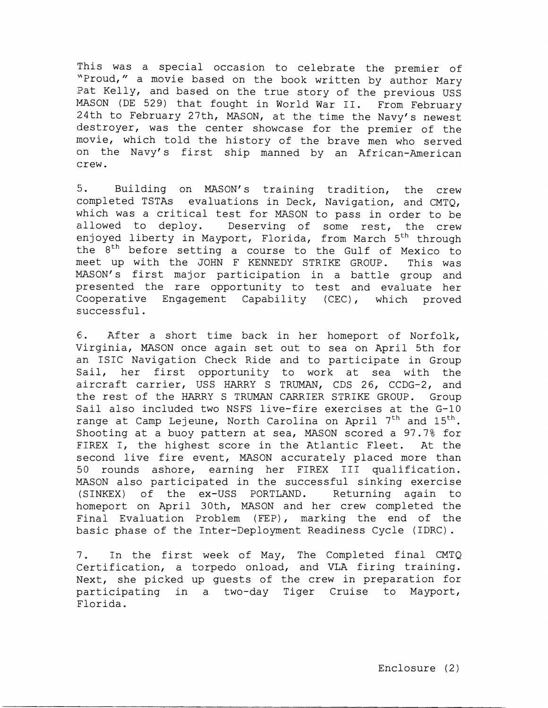This was a special occasion to celebrate the premier of '"Proud," a movie based on the book written by author Mary Pat Kelly, and based on the true story of the previous USS MASON (DE 529) that fought in World War 11. From February 24th to February 27th, MASON, at the time the Navy's newest destroyer, was the center showcase for the premier of the movie, which told the history of the brave men who served on the Navy's first ship manned by an African-American crew.

<sup>5</sup>. Building on MASON'S training tradition, the crew completed TSTAs evaluations in Deck, Navigation, and CMTQ, which was a critical test for MASON to pass in order to be allowed to deploy. Deserving of some rest, the crew enjoyed liberty in Mayport, Florida, from March 5<sup>th</sup> through the 8<sup>th</sup> before setting a course to the Gulf of Mexico to meet up with the JOHN F KENNEDY STRIKE GROUP. This was MASON's first major participation in a battle group and presented the rare opportunity to test and evaluate her Cooperative Engagement Capability (CEC), which proved successful.

**61.** After a short time back in her homeport of Norfolk, Virginia, MASON once again set out to sea on April 5th for an ISIC Navigation Check Ride and to participate in Group Sail, her first opportunity to work at sea with the aircraft carrier, USS HARRY S TRUMAN, CDS 26, CCDG-2, and the rest of the HARRY S TRUMAN CARRIER STRIKE GROUP. Group Sail also included two NSFS live-fire exercises at the G-10 range at Camp Lejeune, North Carolina on April  $7<sup>th</sup>$  and  $15<sup>th</sup>$ . Shooting at a buoy pattern at sea, MASON scored a 97.7% for FIREX I, the highest score in the Atlantic Fleet. At the second live fire event, MASON accurately placed more than 50 rounds ashore, earning her FIREX I11 qualification. MASON also participated in the successful sinking exercise (SINKEX) of the ex-USS PORTLAND. Returning again to homeport on April 30th, MASON and her crew completed the Final Evaluation Problem (FEP), marking the end of the basic phase of the Inter-Deployment Readiness Cycle (IDRC).

7. In the first week of May, The Completed final CMTQ Certification, a torpedo onload, and VLA firing training. Next, she picked up guests of the crew in preparation for participating in a two-day Tiger Cruise to Mayport, Florida.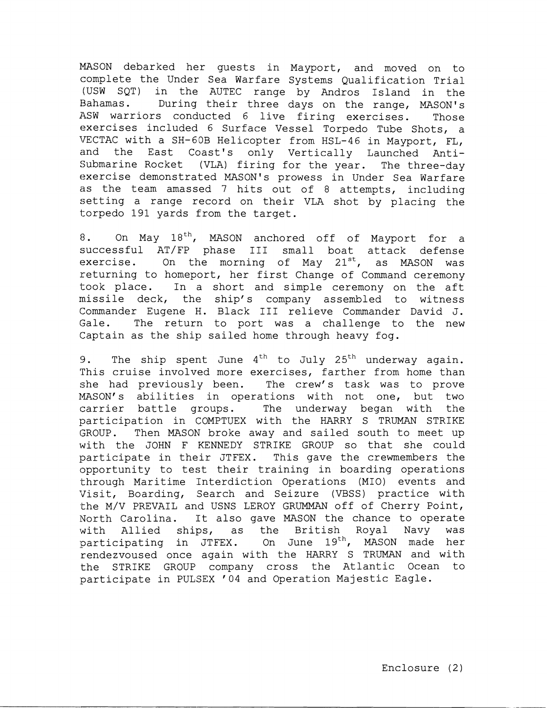MASON debarked her guests in Mayport, and moved on to complete the Under Sea Warfare Systems Qualification Trial (USW SQT) in the AUTEC range by Andros Island in the Bahamas. During their three days on the range, MASON'S ASW warriors conducted 6 live firing exercises. Those exercises included 6 Surface Vessel Torpedo Tube Shots, a VECTAC with a SH-60B Helicopter from HSL-46 in Mayport, FL, and the East Coast's only Vertically Launched Anti-Submarine Rocket (VLA) firing for the year. The three-day exercise demonstrated MASON'S prowess in Under Sea Warfare as the team amassed 7 hits out of 8 attempts, including setting a range record on their VLA shot by placing the torpedo 191 yards from the target.

 $8.$  On May  $18^{th}$ , MASON anchored off of Mayport for a successful AT/FP phase I11 small boat attack defense exercise. On the morning of May  $21^{st}$ , as MASON was returning to homeport, her first Change of Command ceremony took place. In a short and simple ceremony on the aft missile deck, the ship's company assembled to witness Commander Eugene H. Black I11 relieve Commander David J. Gale. The return to port was a challenge to the new Captain as the ship sailed home through heavy fog.

9. The ship spent June  $4^{th}$  to July 25<sup>th</sup> underway again. This cruise involved more exercises, farther from home than she had previously been. The crew's task was to prove MASON'S abilities in operations with not one, but two carrier battle groups. The underway began with the participation in COMPTUEX with the HARRY S TRUMAN STRIKE GROUP. Then MASON broke away and sailed south to meet up with the JOHN F KENNEDY STRIKE GROUP so that she could participate in their JTFEX. This gave the crewmembers the opportunity to test their training in boarding operations through Maritime Interdiction Operations (MIO) events and Visit, Boarding, Search and Seizure (VBSS) practice with the M/V PREVAIL and USNS LEROY GRUMMAN off of Cherry Point, North Carolina. It also gave MASON the chance to operate with Allied ships, as the British Royal Navy was<br>participating in JTFEX. On June 19<sup>th</sup>, MASON made her On June 19<sup>th</sup>, MASON made her rendezvoused once again with the HARRY S TRUMAN and with the STRIKE GROUP company cross the Atlantic Ocean to :participate in PULSEX '04 and Operation Majestic Eagle.

--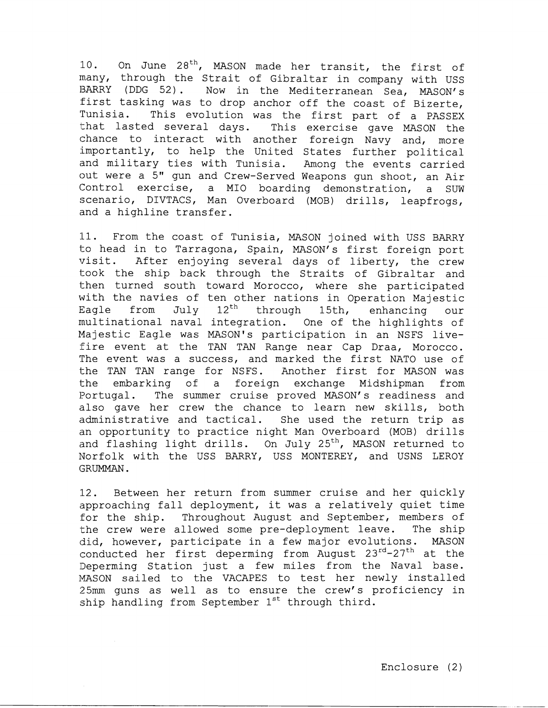10. On June 28<sup>th</sup>, MASON made her transit, the first of many, through the Strait of Gibraltar in company with USS BARRY (DDG 52). Now in the Mediterranean Sea, MASON's first tasking was to drop anchor off the coast of Bizerte, Tunisia. This evolution was the first part of a PASSEX that lasted several days. This exercise gave MASON the chance to interact with another foreign Navy and, more :importantly, to help the United States further political and military ties with Tunisia. Among the events carried out were a 5" gun and Crew-Served Weapons gun shoot, an Air Control exercise, a MI0 boarding demonstration, a SUW scenario, DIVTACS, Man Overboard (MOB) drills, leapfrogs, and a highline transfer.

11. From the coast of Tunisia, MASON joined with USS BARRY to head in to Tarragona, Spain, MASON's first foreign port visit. After enjoying several days of liberty, the crew took the ship back through the Straits of Gibraltar and then turned south toward Morocco, where she participated with the navies of ten other nations in Operation Majestic<br>Eagle from July 12<sup>th</sup> through 15th, enhancing our Eagle from July  $12^{th}$  through 15th, enhancing our multinational naval integration. One of the highlights of Majestic Eagle was MASON'S participation in an NSFS live fire event at the TAN TAN Range near Cap Draa, Morocco. The event was a success, and marked the first NATO use of the TAN TAN range for NSFS. Another first for MASON was the embarking of a foreign exchange Midshipman from Portugal. The summer cruise proved MASON's readiness and also gave her crew the chance to learn new skills, both administrative and tactical. She used the return trip as an opportunity to practice night Man Overboard (MOB) drills and flashing light drills. On July  $25<sup>th</sup>$ , MASON returned to Norfolk with the USS BARRY, USS MONTEREY, and USNS LEROY GRUMMAN.

:12. Between her return from summer cruise and her quickly approaching fall deployment, it was a relatively quiet time :for the ship. Throughout August and September, members of the crew were allowed some pre-deployment leave. The ship did, however, participate in a few major evolutions. MASON conducted her first deperming from August 23<sup>rd</sup>-27<sup>th</sup> at the Deperming Station just a few miles from the Naval base. MASON sailed to the VACAPES to test her newly installed :25mm guns as well as to ensure the crew's proficiency in ship handling from September  $1^{st}$  through third.

- --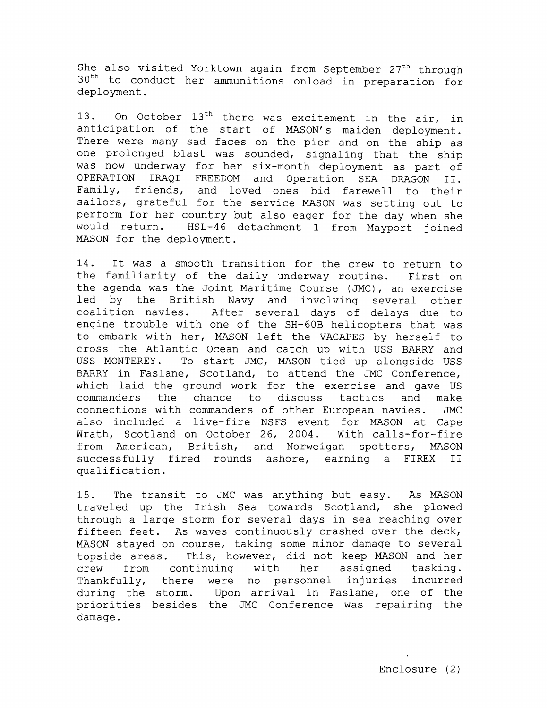She also visited Yorktown again from September 27<sup>th</sup> through  $30<sup>th</sup>$  to conduct her ammunitions onload in preparation for deployment.

13. On October  $13<sup>th</sup>$  there was excitement in the air, in anticipation of the start of MASON's maiden deployment. There were many sad faces on the pier and on the ship as one prolonged blast was sounded, signaling that the ship was now underway for her six-month deployment as part of CPERATION IRAQI FREEDOM and Operation SEA DRAGON 11. Family, friends, and loved ones bid farewell to their sailors, grateful for the service MASON was setting out to perform for her country but also eager for the day when she would return. HSL-46 detachment 1 from Mayport joined MASON for the deployment.

14. It was a smooth transition for the crew to return to the familiarity of the daily underway routine. First on the agenda was the Joint Maritime Course (JMC), an exercise led by the British Navy and involving several other coalition navies. After several days of delays due to engine trouble with one of the SH-GOB helicopters that was to embark with her, MASON left the VACAPES by herself to cross the Atlantic Ocean and catch up with USS BARRY and USS MONTEREY. To start JMC, MASON tied up alongside USS ElARRY in Faslane, Scotland, to attend the JMC Conference, which laid the ground work for the exercise and gave US commanders the chance to discuss tactics and make connect ions with commanders of other European navies. JMC also included a live-fire NSFS event for MASON at Cape Wrath, Scotland on October 26, 2004. With calls-for-fire from American, British, and Norweigan spotters, MASON successfully fired rounds ashore, earning a FIREX I1 qualification.

1.5. The transit to JMC was anything but easy. As MASON traveled up the Irish Sea towards Scotland, she plowed through a large storm for several days in sea reaching over fifteen feet. As waves continuously crashed over the deck, MASON stayed on course, taking some minor damage to several topside areas. This, however, did not keep MASON and her crew from continuing with her assigned tasking. Thankfully, there were no personnel injuries incurred during the storm. Upon arrival in Faslane, one of the priorities besides the JMC Conference was repairing the damage.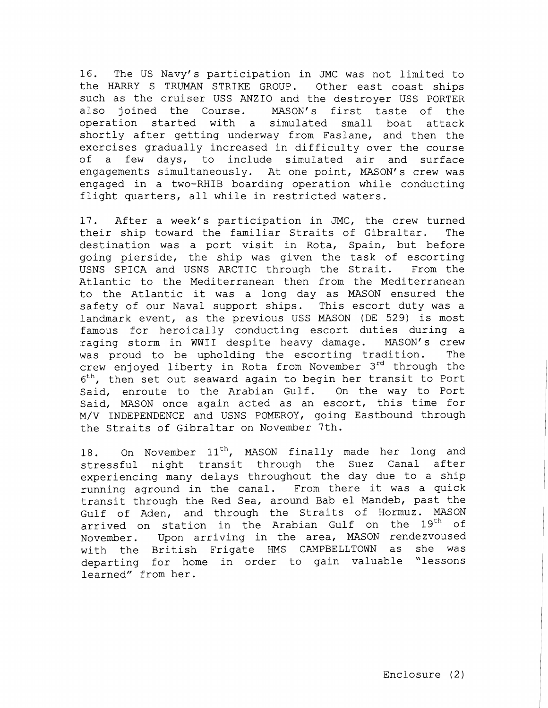16. The US Navy's participation in JMC was not limited to the HARRY S TRUMAN STRIKE GROUP. Other east coast ships such as the cruiser USS ANZIO and the destroyer USS PORTER also joined the Course. MASON'S first taste of the operation started with a simulated small boat attack shortly after getting underway from Faslane, and then the exercises gradually increased in difficulty over the course of a few days, to include simulated air and surface engagements simultaneously. At one point, MASON's crew was engaged in a two-RHIB boarding operation while conducting flight quarters, all while in restricted waters.

17. After a week's participation in JMC, the crew turned their ship toward the familiar Straits of Gibraltar. The destination was a port visit in Rota, Spain, but before going pierside, the ship was given the task of escorting USNS SPICA and USNS ARCTIC through the Strait. From the Atlantic to the Mediterranean then from the Mediterranean to the Atlantic it was a long day as MASON ensured the safety of our Naval support ships. This escort duty was a landmark event, as the previous USS MASON (DE 529) is most :famous for heroically conducting escort duties during a raging storm in WWII despite heavy damage. MASON's crew was proud to be upholding the escorting tradition. The (crew enjoyed liberty in Rota from November **3rd** through the  $6<sup>th</sup>$ , then set out seaward again to begin her transit to Port Said, enroute to the Arabian Gulf. On the way to Port Said, MASON once again acted as an escort, this time for M/V INDEPENDENCE and USNS POMEROY, going Eastbound through the Straits of Gibraltar on November 7th.

18. On November 11<sup>th</sup>, MASON finally made her long and stressful night transit through the Suez Canal after experiencing many delays throughout the day due to a ship running aground in the canal. From there it was a quick transit through the Red Sea, around Bab el Mandeb, past the Gulf of Aden, and through the Straits of Hormuz. MASON arrived on station in the Arabian Gulf on the 19<sup>th</sup> of November. Upon arriving in the area, MASON rendezvoused with the British Frigate HMS CAMPBELLTOWN as she was departing for home in order to gain valuable "lessons learned" from her.